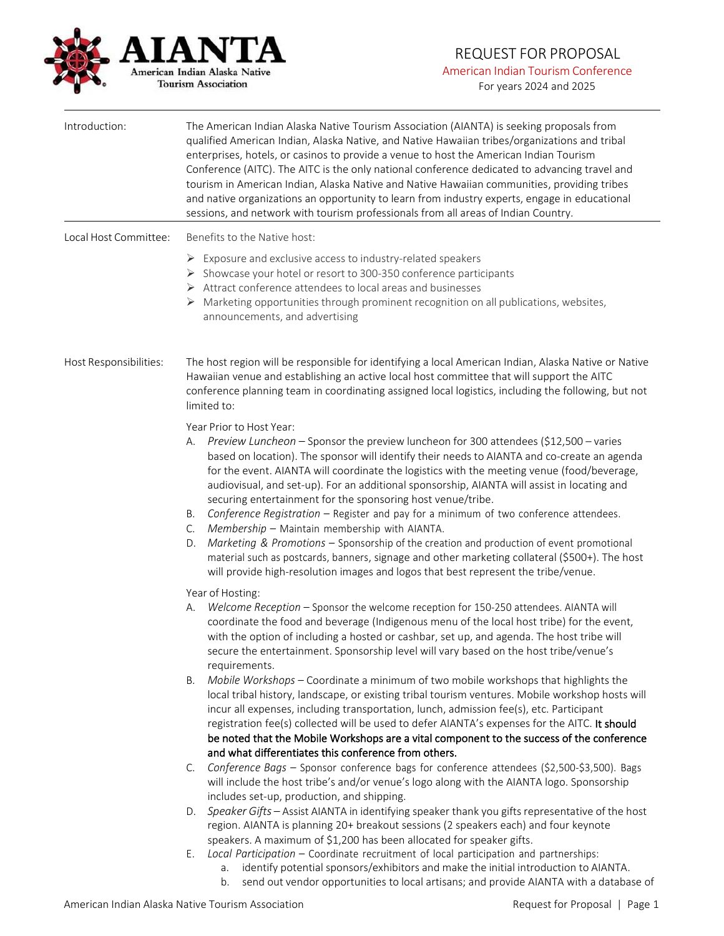

## REQUEST FOR PROPOSAL American Indian Tourism Conference

For years 2024 and 2025

| Introduction:          | The American Indian Alaska Native Tourism Association (AIANTA) is seeking proposals from<br>qualified American Indian, Alaska Native, and Native Hawaiian tribes/organizations and tribal<br>enterprises, hotels, or casinos to provide a venue to host the American Indian Tourism<br>Conference (AITC). The AITC is the only national conference dedicated to advancing travel and<br>tourism in American Indian, Alaska Native and Native Hawaiian communities, providing tribes<br>and native organizations an opportunity to learn from industry experts, engage in educational<br>sessions, and network with tourism professionals from all areas of Indian Country.                                                                                                                                                                                                                                                                                                                                                                                               |
|------------------------|--------------------------------------------------------------------------------------------------------------------------------------------------------------------------------------------------------------------------------------------------------------------------------------------------------------------------------------------------------------------------------------------------------------------------------------------------------------------------------------------------------------------------------------------------------------------------------------------------------------------------------------------------------------------------------------------------------------------------------------------------------------------------------------------------------------------------------------------------------------------------------------------------------------------------------------------------------------------------------------------------------------------------------------------------------------------------|
| Local Host Committee:  | Benefits to the Native host:                                                                                                                                                                                                                                                                                                                                                                                                                                                                                                                                                                                                                                                                                                                                                                                                                                                                                                                                                                                                                                             |
|                        | $\triangleright$ Exposure and exclusive access to industry-related speakers<br>> Showcase your hotel or resort to 300-350 conference participants<br>> Attract conference attendees to local areas and businesses<br>Marketing opportunities through prominent recognition on all publications, websites,<br>announcements, and advertising                                                                                                                                                                                                                                                                                                                                                                                                                                                                                                                                                                                                                                                                                                                              |
| Host Responsibilities: | The host region will be responsible for identifying a local American Indian, Alaska Native or Native<br>Hawaiian venue and establishing an active local host committee that will support the AITC<br>conference planning team in coordinating assigned local logistics, including the following, but not<br>limited to:                                                                                                                                                                                                                                                                                                                                                                                                                                                                                                                                                                                                                                                                                                                                                  |
|                        | Year Prior to Host Year:<br>Preview Luncheon - Sponsor the preview luncheon for 300 attendees (\$12,500 - varies<br>А.<br>based on location). The sponsor will identify their needs to AIANTA and co-create an agenda<br>for the event. AIANTA will coordinate the logistics with the meeting venue (food/beverage,<br>audiovisual, and set-up). For an additional sponsorship, AIANTA will assist in locating and<br>securing entertainment for the sponsoring host venue/tribe.<br>Conference Registration - Register and pay for a minimum of two conference attendees.<br>В.<br>Membership - Maintain membership with AIANTA.<br>C.<br>Marketing & Promotions - Sponsorship of the creation and production of event promotional<br>D.<br>material such as postcards, banners, signage and other marketing collateral (\$500+). The host<br>will provide high-resolution images and logos that best represent the tribe/venue.                                                                                                                                        |
|                        | Year of Hosting:<br>Welcome Reception - Sponsor the welcome reception for 150-250 attendees. AIANTA will<br>А.<br>coordinate the food and beverage (Indigenous menu of the local host tribe) for the event,<br>with the option of including a hosted or cashbar, set up, and agenda. The host tribe will<br>secure the entertainment. Sponsorship level will vary based on the host tribe/venue's<br>requirements.<br>Mobile Workshops - Coordinate a minimum of two mobile workshops that highlights the<br>Β.<br>local tribal history, landscape, or existing tribal tourism ventures. Mobile workshop hosts will<br>incur all expenses, including transportation, lunch, admission fee(s), etc. Participant<br>registration fee(s) collected will be used to defer AIANTA's expenses for the AITC. It should<br>be noted that the Mobile Workshops are a vital component to the success of the conference<br>and what differentiates this conference from others.<br>Conference Bags - Sponsor conference bags for conference attendees (\$2,500-\$3,500). Bags<br>C. |
|                        | will include the host tribe's and/or venue's logo along with the AIANTA logo. Sponsorship<br>includes set-up, production, and shipping.                                                                                                                                                                                                                                                                                                                                                                                                                                                                                                                                                                                                                                                                                                                                                                                                                                                                                                                                  |
|                        | Speaker Gifts - Assist AIANTA in identifying speaker thank you gifts representative of the host<br>D.<br>region. AIANTA is planning 20+ breakout sessions (2 speakers each) and four keynote<br>speakers. A maximum of \$1,200 has been allocated for speaker gifts.                                                                                                                                                                                                                                                                                                                                                                                                                                                                                                                                                                                                                                                                                                                                                                                                     |
|                        | Local Participation - Coordinate recruitment of local participation and partnerships:<br>Ε.                                                                                                                                                                                                                                                                                                                                                                                                                                                                                                                                                                                                                                                                                                                                                                                                                                                                                                                                                                              |

- a. identify potential sponsors/exhibitors and make the initial introduction to AIANTA.
- b. send out vendor opportunities to local artisans; and provide AIANTA with a database of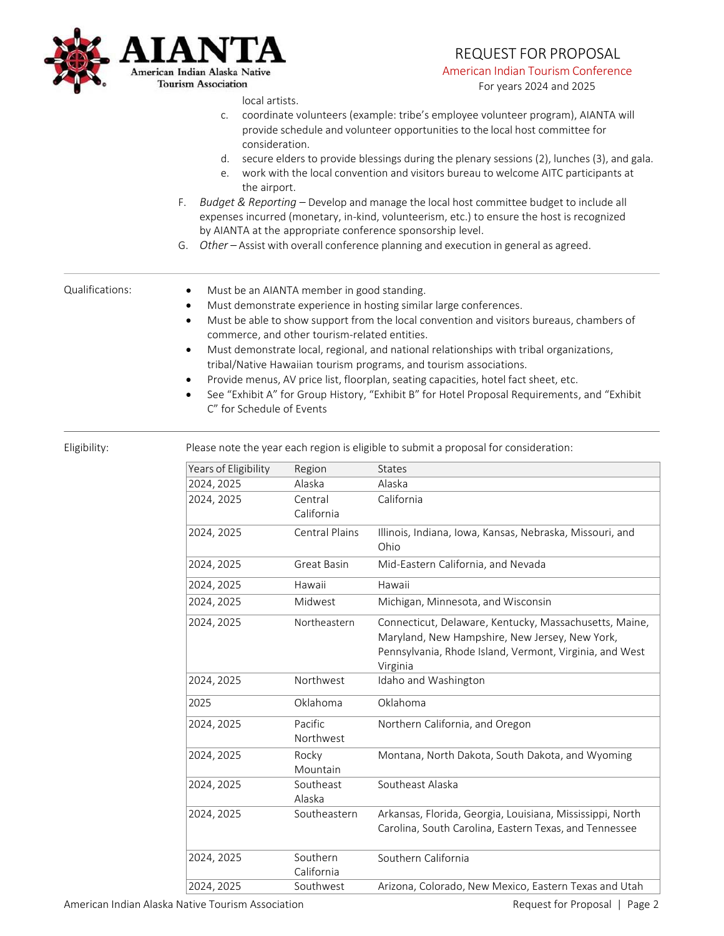

# REQUEST FOR PROPOSAL

American Indian Tourism Conference

For years 2024 and 2025

local artists.

- c. coordinate volunteers (example: tribe's employee volunteer program), AIANTA will provide schedule and volunteer opportunities to the local host committee for consideration.
- d. secure elders to provide blessings during the plenary sessions (2), lunches (3), and gala.
- e. work with the local convention and visitors bureau to welcome AITC participants at the airport.
- F. *Budget & Reporting –* Develop and manage the local host committee budget to include all expenses incurred (monetary, in-kind, volunteerism, etc.) to ensure the host is recognized by AIANTA at the appropriate conference sponsorship level.
- G. *Other –* Assist with overall conference planning and execution in general as agreed.

- Qualifications: Must be an AIANTA member in good standing.
	- Must demonstrate experience in hosting similar large conferences.
	- Must be able to show support from the local convention and visitors bureaus, chambers of commerce, and other tourism-related entities.
	- Must demonstrate local, regional, and national relationships with tribal organizations, tribal/Native Hawaiian tourism programs, and tourism associations.
	- Provide menus, AV price list, floorplan, seating capacities, hotel fact sheet, etc.
	- See "Exhibit A" for Group History, "Exhibit B" for Hotel Proposal Requirements, and "Exhibit C" for Schedule of Events

Eligibility: Please note the year each region is eligible to submit a proposal for consideration:

| Years of Eligibility | Region                 | <b>States</b>                                                                                                                                                                   |
|----------------------|------------------------|---------------------------------------------------------------------------------------------------------------------------------------------------------------------------------|
| 2024, 2025           | Alaska                 | Alaska                                                                                                                                                                          |
| 2024, 2025           | Central<br>California  | California                                                                                                                                                                      |
| 2024, 2025           | <b>Central Plains</b>  | Illinois, Indiana, Iowa, Kansas, Nebraska, Missouri, and<br>Ohio                                                                                                                |
| 2024, 2025           | Great Basin            | Mid-Eastern California, and Nevada                                                                                                                                              |
| 2024, 2025           | Hawaii                 | Hawaii                                                                                                                                                                          |
| 2024, 2025           | Midwest                | Michigan, Minnesota, and Wisconsin                                                                                                                                              |
| 2024, 2025           | Northeastern           | Connecticut, Delaware, Kentucky, Massachusetts, Maine,<br>Maryland, New Hampshire, New Jersey, New York,<br>Pennsylvania, Rhode Island, Vermont, Virginia, and West<br>Virginia |
| 2024, 2025           | Northwest              | Idaho and Washington                                                                                                                                                            |
| 2025                 | Oklahoma               | Oklahoma                                                                                                                                                                        |
| 2024, 2025           | Pacific<br>Northwest   | Northern California, and Oregon                                                                                                                                                 |
| 2024, 2025           | Rocky<br>Mountain      | Montana, North Dakota, South Dakota, and Wyoming                                                                                                                                |
| 2024, 2025           | Southeast<br>Alaska    | Southeast Alaska                                                                                                                                                                |
| 2024, 2025           | Southeastern           | Arkansas, Florida, Georgia, Louisiana, Mississippi, North<br>Carolina, South Carolina, Eastern Texas, and Tennessee                                                             |
| 2024, 2025           | Southern<br>California | Southern California                                                                                                                                                             |
| 2024, 2025           | Southwest              | Arizona, Colorado, New Mexico, Eastern Texas and Utah                                                                                                                           |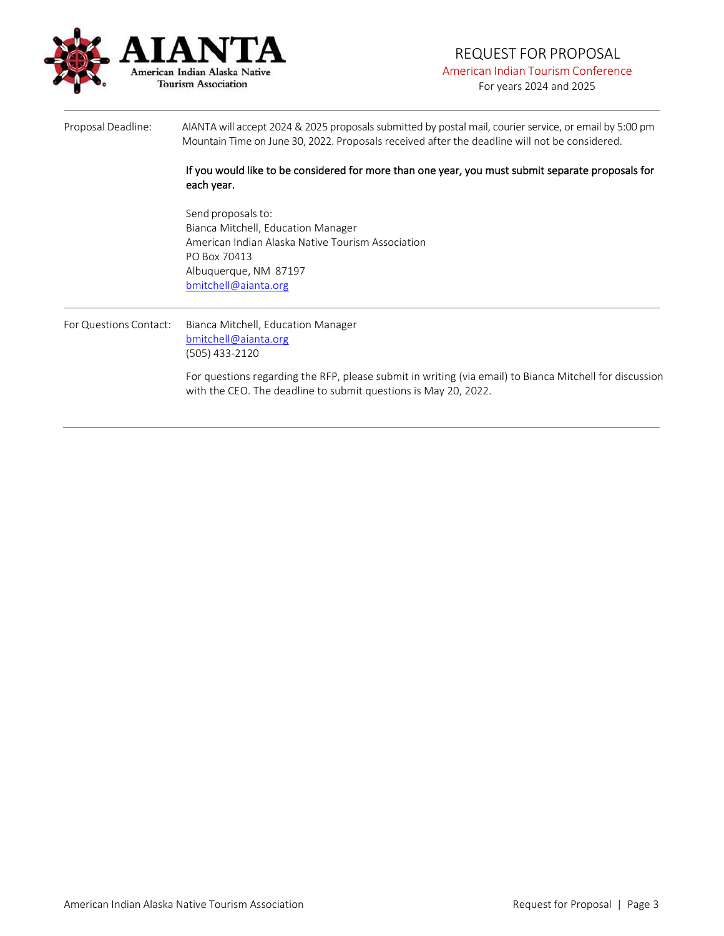

## REQUEST FOR PROPOSAL American Indian Tourism Conference

For years 2024 and 2025

Proposal Deadline: AIANTA will accept 2024 & 2025 proposals submitted by postal mail, courier service, or email by 5:00 pm Mountain Time on June 30, 2022. Proposals received after the deadline will not be considered. If you would like to be considered for more than one year, you must submit separate proposals for each year. Send proposals to: Bianca Mitchell, Education Manager American Indian Alaska Native Tourism Association PO Box 70413 Albuquerque, NM 87197 [bmitchell@aianta.org](mailto:bmitchell@aianta.org) For Questions Contact: Bianca Mitchell, Education Manager [bmitchell@aianta.org](mailto:bmitchell@aianta.org) (505) 433-2120 For questions regarding the RFP, please submit in writing (via email) to Bianca Mitchell for discussion with the CEO. The deadline to submit questions is May 20, 2022.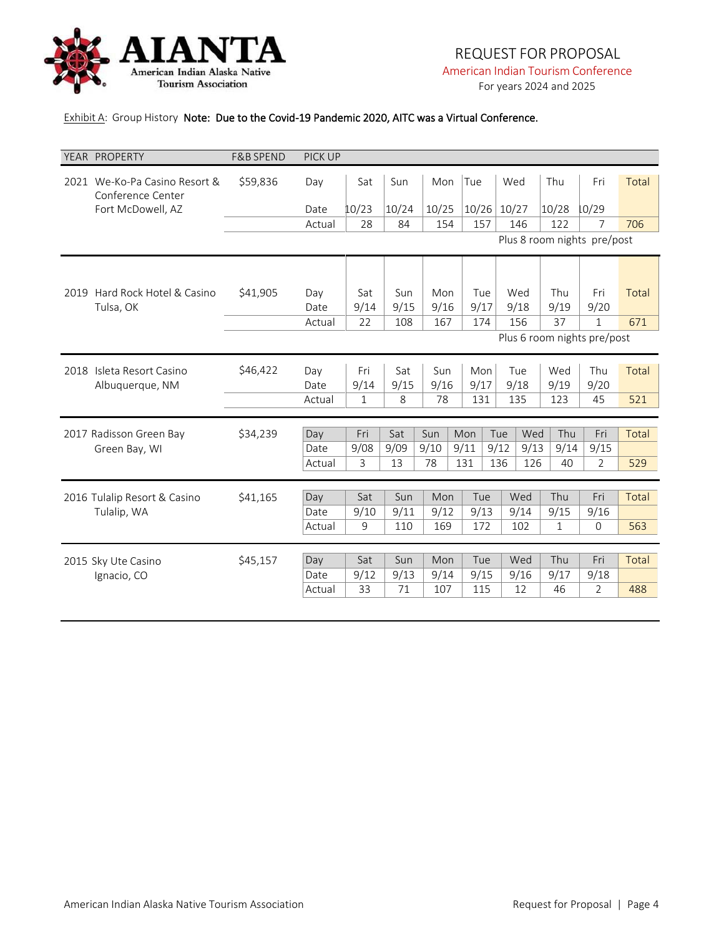

For years 2024 and 2025

### Exhibit A: Group History Note: Due to the Covid-19 Pandemic 2020, AITC was a Virtual Conference.

|      | YEAR PROPERTY                                      | <b>F&amp;B SPEND</b> | <b>PICK UP</b> |              |            |             |             |             |      |             |                             |       |
|------|----------------------------------------------------|----------------------|----------------|--------------|------------|-------------|-------------|-------------|------|-------------|-----------------------------|-------|
|      | 2021 We-Ko-Pa Casino Resort &<br>Conference Center | \$59,836             | Day            | Sat          | Sun        | Mon         | Tue         | Wed         |      | Thu         | Fri                         | Total |
|      | Fort McDowell, AZ                                  |                      | Date           | 10/23        | 10/24      | 10/25       | 10/26       | 10/27       |      | 10/28       | 10/29                       |       |
|      |                                                    |                      | Actual         | 28           | 84         | 154         | 157         | 146         |      | 122         | 7                           | 706   |
|      |                                                    |                      |                |              |            |             |             |             |      |             | Plus 8 room nights pre/post |       |
|      |                                                    |                      |                |              |            |             |             |             |      |             |                             |       |
|      | 2019 Hard Rock Hotel & Casino                      | \$41,905             | Day            | Sat          | Sun        | Mon         | Tue         | Wed         |      | Thu         | Fri                         | Total |
|      | Tulsa, OK                                          |                      | Date           | 9/14         | 9/15       | 9/16        | 9/17        | 9/18        |      | 9/19        | 9/20                        |       |
|      |                                                    |                      | Actual         | 22           | 108        | 167         | 174         | 156         |      | 37          | $\mathbf{1}$                | 671   |
|      |                                                    |                      |                |              |            |             |             |             |      |             | Plus 6 room nights pre/post |       |
|      |                                                    |                      |                |              |            |             |             |             |      |             |                             |       |
| 2018 | Isleta Resort Casino                               | \$46,422             | Day<br>Date    | Fri<br>9/14  | Sat        | Sun<br>9/16 | Mon<br>9/17 | Tue<br>9/18 |      | Wed         | Thu                         | Total |
|      | Albuquerque, NM                                    |                      | Actual         | $\mathbf{1}$ | 9/15<br>8  | 78          | 131         | 135         |      | 9/19<br>123 | 9/20<br>45                  | 521   |
|      |                                                    |                      |                |              |            |             |             |             |      |             |                             |       |
|      | 2017 Radisson Green Bay                            | \$34,239             | Day            | Fri          | Sat        | Sun         | Mon         | Tue         | Wed  | Thu         | Fri                         | Total |
|      | Green Bay, WI                                      |                      | Date           | 9/08         | 9/09       | 9/10        | 9/11        | 9/12        | 9/13 | 9/14        | 9/15                        |       |
|      |                                                    |                      | Actual         | 3            | 13         | 78          | 131         | 136         | 126  | 40          | $\overline{2}$              | 529   |
|      |                                                    |                      |                |              |            |             |             |             |      |             |                             |       |
|      | 2016 Tulalip Resort & Casino                       | \$41,165             | Day            | Sat          | Sun        | Mon         | Tue         | Wed         |      | Thu         | Fri                         | Total |
|      | Tulalip, WA                                        |                      | Date           | 9/10         | 9/11       | 9/12        | 9/13        | 9/14        |      | 9/15        | 9/16                        |       |
|      |                                                    |                      | Actual         | 9            | 110        | 169         | 172         | 102         |      | 1           | 0                           | 563   |
|      |                                                    |                      |                |              |            |             |             |             |      |             |                             |       |
|      | 2015 Sky Ute Casino                                | \$45,157             | Day            | Sat          | Sun        | Mon         | Tue         | Wed         |      | Thu         | Fri                         | Total |
|      | Ignacio, CO                                        |                      | Date<br>Actual | 9/12<br>33   | 9/13<br>71 | 9/14<br>107 | 9/15<br>115 | 9/16<br>12  |      | 9/17<br>46  | 9/18<br>$\overline{2}$      | 488   |
|      |                                                    |                      |                |              |            |             |             |             |      |             |                             |       |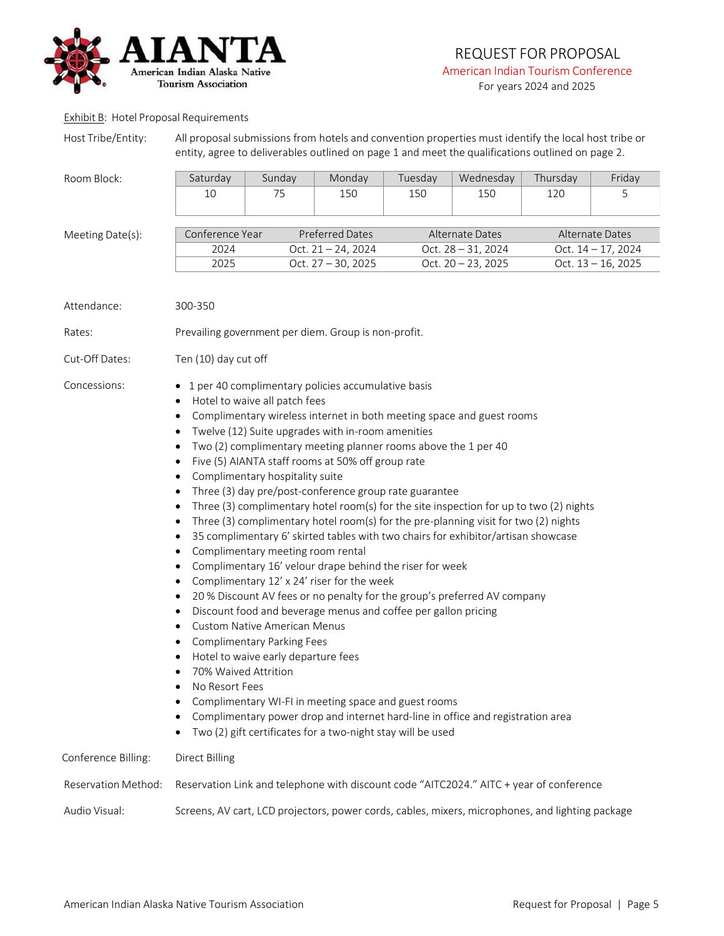

#### Exhibit B: Hotel Proposal Requirements

|  | Host Tribe/Entity: |  |
|--|--------------------|--|
|  |                    |  |

All proposal submissions from hotels and convention properties must identify the local host tribe or entity, agree to deliverables outlined on page 1 and meet the qualifications outlined on page 2.

| Room Block:                                                                    | Saturday                                                                                                                                                                                                                                                                           | Sunday                                                                                                                                                                                                                   | Monday                                                                                                                                                                                                                                                                                                                                                                                                                                                                                                                                                                                                                                                                                                                                                                                                                                                                                                                                                                                                                                                                                                                                                            | Tuesday         | Wednesday             | Thursday | Friday                |
|--------------------------------------------------------------------------------|------------------------------------------------------------------------------------------------------------------------------------------------------------------------------------------------------------------------------------------------------------------------------------|--------------------------------------------------------------------------------------------------------------------------------------------------------------------------------------------------------------------------|-------------------------------------------------------------------------------------------------------------------------------------------------------------------------------------------------------------------------------------------------------------------------------------------------------------------------------------------------------------------------------------------------------------------------------------------------------------------------------------------------------------------------------------------------------------------------------------------------------------------------------------------------------------------------------------------------------------------------------------------------------------------------------------------------------------------------------------------------------------------------------------------------------------------------------------------------------------------------------------------------------------------------------------------------------------------------------------------------------------------------------------------------------------------|-----------------|-----------------------|----------|-----------------------|
|                                                                                | 10                                                                                                                                                                                                                                                                                 | 75                                                                                                                                                                                                                       | 150                                                                                                                                                                                                                                                                                                                                                                                                                                                                                                                                                                                                                                                                                                                                                                                                                                                                                                                                                                                                                                                                                                                                                               | 150             | 150                   | 120      | 5                     |
| Meeting Date(s):                                                               | Conference Year                                                                                                                                                                                                                                                                    |                                                                                                                                                                                                                          | <b>Preferred Dates</b>                                                                                                                                                                                                                                                                                                                                                                                                                                                                                                                                                                                                                                                                                                                                                                                                                                                                                                                                                                                                                                                                                                                                            | Alternate Dates | Alternate Dates       |          |                       |
|                                                                                | 2024                                                                                                                                                                                                                                                                               |                                                                                                                                                                                                                          | Oct. $21 - 24$ , 2024                                                                                                                                                                                                                                                                                                                                                                                                                                                                                                                                                                                                                                                                                                                                                                                                                                                                                                                                                                                                                                                                                                                                             |                 | Oct. $28 - 31$ , 2024 |          | Oct. $14 - 17$ , 2024 |
|                                                                                | 2025                                                                                                                                                                                                                                                                               |                                                                                                                                                                                                                          | Oct. 27 - 30, 2025                                                                                                                                                                                                                                                                                                                                                                                                                                                                                                                                                                                                                                                                                                                                                                                                                                                                                                                                                                                                                                                                                                                                                |                 | Oct. $20 - 23$ , 2025 |          | Oct. $13 - 16$ , 2025 |
| Attendance:<br>Rates:<br>Cut-Off Dates:<br>Concessions:<br>Conference Billing: | 300-350<br>Ten (10) day cut off<br>$\bullet$<br>$\bullet$<br>$\bullet$<br>$\bullet$<br>$\bullet$<br>$\bullet$<br>$\bullet$<br>٠<br>$\bullet$<br>٠<br>$\bullet$<br>$\bullet$<br>$\bullet$<br>$\bullet$<br>70% Waived Attrition<br>No Resort Fees<br>٠<br>٠<br><b>Direct Billing</b> | Hotel to waive all patch fees<br>Complimentary hospitality suite<br>Complimentary meeting room rental<br><b>Custom Native American Menus</b><br><b>Complimentary Parking Fees</b><br>Hotel to waive early departure fees | Prevailing government per diem. Group is non-profit.<br>1 per 40 complimentary policies accumulative basis<br>Complimentary wireless internet in both meeting space and guest rooms<br>Twelve (12) Suite upgrades with in-room amenities<br>Two (2) complimentary meeting planner rooms above the 1 per 40<br>Five (5) AIANTA staff rooms at 50% off group rate<br>Three (3) day pre/post-conference group rate guarantee<br>Three (3) complimentary hotel room(s) for the site inspection for up to two (2) nights<br>Three (3) complimentary hotel room(s) for the pre-planning visit for two (2) nights<br>35 complimentary 6' skirted tables with two chairs for exhibitor/artisan showcase<br>Complimentary 16' velour drape behind the riser for week<br>Complimentary 12' x 24' riser for the week<br>20 % Discount AV fees or no penalty for the group's preferred AV company<br>Discount food and beverage menus and coffee per gallon pricing<br>Complimentary WI-FI in meeting space and guest rooms<br>Complimentary power drop and internet hard-line in office and registration area<br>Two (2) gift certificates for a two-night stay will be used |                 |                       |          |                       |
| Reservation Method:                                                            |                                                                                                                                                                                                                                                                                    |                                                                                                                                                                                                                          | Reservation Link and telephone with discount code "AITC2024." AITC + year of conference                                                                                                                                                                                                                                                                                                                                                                                                                                                                                                                                                                                                                                                                                                                                                                                                                                                                                                                                                                                                                                                                           |                 |                       |          |                       |
|                                                                                |                                                                                                                                                                                                                                                                                    |                                                                                                                                                                                                                          |                                                                                                                                                                                                                                                                                                                                                                                                                                                                                                                                                                                                                                                                                                                                                                                                                                                                                                                                                                                                                                                                                                                                                                   |                 |                       |          |                       |
| Audio Visual:                                                                  |                                                                                                                                                                                                                                                                                    |                                                                                                                                                                                                                          | Screens, AV cart, LCD projectors, power cords, cables, mixers, microphones, and lighting package                                                                                                                                                                                                                                                                                                                                                                                                                                                                                                                                                                                                                                                                                                                                                                                                                                                                                                                                                                                                                                                                  |                 |                       |          |                       |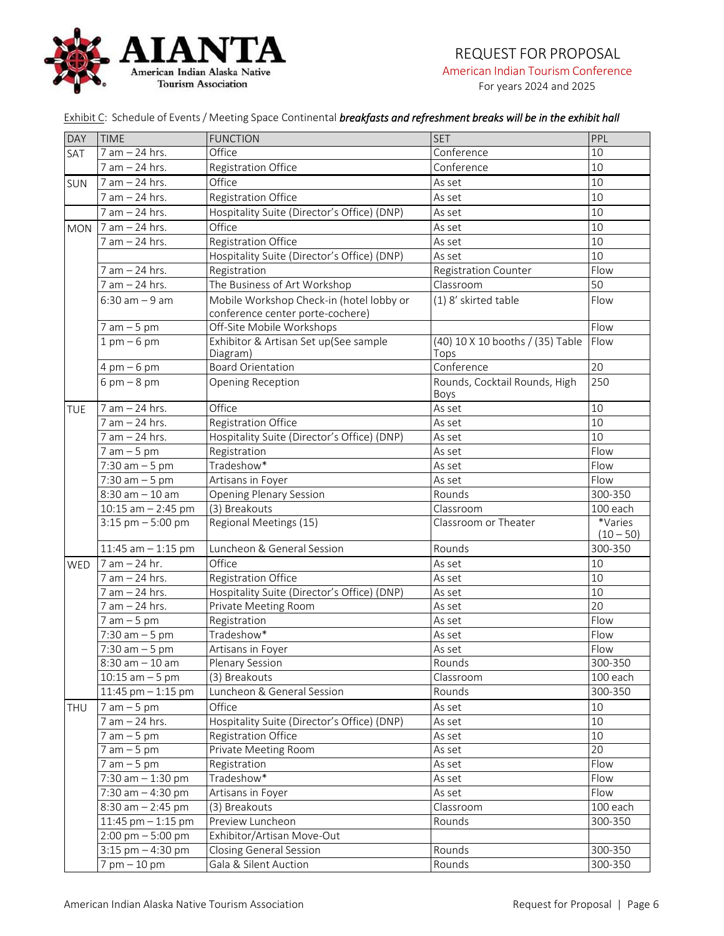

# REQUEST FOR PROPOSAL

American Indian Tourism Conference

For years 2024 and 2025

Exhibit C: Schedule of Events/ Meeting Space Continental *breakfasts and refreshment breaks will be in the exhibit hall*

| DAY        | <b>TIME</b>                         | <b>FUNCTION</b><br><b>SET</b>                                                |                                          | PPL                    |
|------------|-------------------------------------|------------------------------------------------------------------------------|------------------------------------------|------------------------|
| SAT        | 7 am - 24 hrs.                      | Office                                                                       | Conference                               | 10                     |
|            | 7 am - 24 hrs.                      | Registration Office                                                          | Conference                               | 10                     |
| <b>SUN</b> | 7 am - 24 hrs.                      | Office                                                                       | As set                                   | 10                     |
|            | 7 am - 24 hrs.                      | Registration Office                                                          | As set                                   | 10                     |
|            | 7 am - 24 hrs.                      | Hospitality Suite (Director's Office) (DNP)                                  | As set                                   | 10                     |
| <b>MON</b> | $7$ am $-$ 24 hrs.                  | Office                                                                       | As set                                   | 10                     |
|            | 7 am - 24 hrs.                      | Registration Office                                                          | As set                                   | 10                     |
|            |                                     | Hospitality Suite (Director's Office) (DNP)                                  | As set                                   | 10                     |
|            | 7 am - 24 hrs.                      | Registration                                                                 | <b>Registration Counter</b>              | Flow                   |
|            | 7 am - 24 hrs.                      | The Business of Art Workshop                                                 | Classroom                                | 50                     |
|            | $6:30$ am $-9$ am                   | Mobile Workshop Check-in (hotel lobby or<br>conference center porte-cochere) | (1) 8' skirted table                     | Flow                   |
|            | $7 am - 5 pm$                       | Off-Site Mobile Workshops                                                    |                                          | Flow                   |
|            | $1$ pm $-6$ pm                      | Exhibitor & Artisan Set up(See sample<br>Diagram)                            | (40) 10 X 10 booths / (35) Table<br>Tops | Flow                   |
|            | $4 \text{ pm} - 6 \text{ pm}$       | <b>Board Orientation</b>                                                     | Conference                               | 20                     |
|            | $6 \text{ pm} - 8 \text{ pm}$       | Opening Reception                                                            | Rounds, Cocktail Rounds, High<br>Boys    | 250                    |
| TUE        | $7$ am $-$ 24 hrs.                  | Office                                                                       | As set                                   | 10                     |
|            | 7 am - 24 hrs.                      | Registration Office                                                          | As set                                   | 10                     |
|            | 7 am - 24 hrs.                      | Hospitality Suite (Director's Office) (DNP)                                  | As set                                   | 10                     |
|            | $7 am - 5 pm$                       | Registration                                                                 | As set                                   | Flow                   |
|            | $7:30$ am $-5$ pm                   | Tradeshow*                                                                   | As set                                   | Flow                   |
|            | $7:30$ am $-5$ pm                   | Artisans in Foyer                                                            | As set                                   | Flow                   |
|            | $8:30$ am $-10$ am                  | <b>Opening Plenary Session</b>                                               | Rounds                                   | 300-350                |
|            | $10:15$ am $- 2:45$ pm              | (3) Breakouts                                                                | Classroom                                | 100 each               |
|            | $3:15$ pm $-5:00$ pm                | Regional Meetings (15)                                                       | Classroom or Theater                     | *Varies<br>$(10 - 50)$ |
|            | 11:45 am $-$ 1:15 pm                | Luncheon & General Session                                                   | Rounds                                   | 300-350                |
| WED        | 7 am - 24 hr.                       | Office                                                                       | As set                                   | 10                     |
|            | 7 am - 24 hrs.                      | Registration Office                                                          | As set                                   | 10                     |
|            | 7 am - 24 hrs.                      | Hospitality Suite (Director's Office) (DNP)                                  | As set                                   | 10                     |
|            | 7 am - 24 hrs.                      | Private Meeting Room                                                         | As set                                   | 20                     |
|            | $7 am - 5 pm$                       | Registration                                                                 | As set                                   | Flow                   |
|            | $7:30$ am $-5$ pm                   | Tradeshow*                                                                   | As set                                   | Flow                   |
|            | $7:30$ am $-5$ pm                   | Artisans in Foyer                                                            | As set                                   | Flow                   |
|            | $8:30$ am $-10$ am                  | Plenary Session                                                              | Rounds                                   | 300-350                |
|            | $10:15$ am $-5$ pm                  | (3) Breakouts                                                                | Classroom                                | 100 each               |
|            | $11:45$ pm $-1:15$ pm               | Luncheon & General Session                                                   | Rounds                                   | 300-350                |
| THU        | $7 am - 5 pm$                       | Office                                                                       | As set                                   | 10                     |
|            | $7$ am $-$ 24 hrs.                  | Hospitality Suite (Director's Office) (DNP)                                  | As set                                   | 10                     |
|            | $7 am - 5 pm$                       | Registration Office                                                          | As set                                   | 10                     |
|            | $7 am - 5 pm$                       | Private Meeting Room                                                         | As set                                   | 20                     |
|            | $7 am - 5 pm$                       | Registration                                                                 | As set                                   | Flow                   |
|            | $7:30$ am $-1:30$ pm                | Tradeshow*                                                                   | As set                                   | Flow                   |
|            | $7:30$ am $-4:30$ pm                | Artisans in Foyer                                                            | As set                                   | Flow                   |
|            | $8:30$ am $-2:45$ pm                | (3) Breakouts                                                                | Classroom                                | 100 each               |
|            | 11:45 pm $-$ 1:15 pm                | Preview Luncheon                                                             | Rounds                                   | 300-350                |
|            | $2:00 \text{ pm} - 5:00 \text{ pm}$ | Exhibitor/Artisan Move-Out                                                   |                                          |                        |
|            | $3:15$ pm $-4:30$ pm                | <b>Closing General Session</b>                                               | Rounds                                   | 300-350                |
|            | $7$ pm $-10$ pm                     | Gala & Silent Auction                                                        | Rounds                                   | 300-350                |